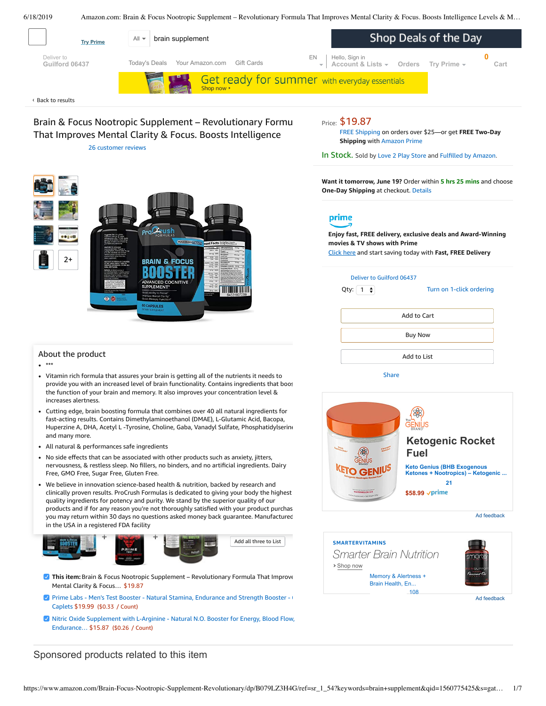6/18/2019 Amazon.com: Brain & Focus Nootropic Supplement – Revolutionary Formula That Improves Mental Clarity & Focus. Boosts Intelligence Levels & M…

<span id="page-0-0"></span>

# Brain & Focus Nootropic Supplement - Revolutionary Formu That Improves Mental Clarity & Focus. Boosts Intelligence

26 [customer](#page-3-0) reviews



FREE [Shipping](javascript:void(0)) on orders over \$25—or get **FREE Two-Day Shipping** with [Amazon](https://www.amazon.com/gp/prime/pipeline/signup.html?ref=primedp_ventures_desktopBelowThreshold&primeCampaignId=primedp_ventures_desktopBelowThreshold) Prime

In Stock. Sold by Love 2 Play [Store](https://www.amazon.com/gp/help/seller/at-a-glance.html/ref=dp_merchant_link?ie=UTF8&seller=A3BX8L02USHGXP&isAmazonFulfilled=1) and Fulfilled by [Amazon](https://www.amazon.com/gp/help/customer/display.html?ie=UTF8&ref=dp_fulfillment&nodeId=106096011).

**Want it tomorrow, June 19?** Order within **5 hrs 25 mins** and choose **One-Day Shipping** at checkout. [Details](https://www.amazon.com/gp/help/customer/display.html/ref=ftinfo_dp_?ie=UTF8&nodeId=3510241&pop-up=1)

# prime

**Enjoy fast, FREE delivery, exclusive deals and Award-Winning movies & TV shows with Prime** Click here and start saving today with **Fast, FREE Delivery**



[Share](mailto:?body=I%20want%20to%20recommend%20this%20product%20at%20Amazon.com%0A%0ABrain%20%26%20Focus%20Nootropic%20Supplement%20-%20Revolutionary%20Formula%20That%20Improves%20Mental%20Clarity%20%26%20Focus.%20Boosts%20Intelligence%20Levels%20%26%20Memory%20Function.%20Increases%20Level%20of%20Concentration%20%26%20Alertness%20by%20ProCrush%0Aby%20Love%202%20Play%20Store%0ALearn%20more%3A%20https%3A%2F%2Fwww.amazon.com%2Fdp%2FB079LZ3H4G%2Fref%3Dcm_sw_em_r_mt_dp_U_NTocDbYM99AQB&subject=I%20want%20to%20recommend%20this%20product%20on%20Amazon)









#### About the product

 $^*$ 

- Vitamin rich formula that assures your brain is getting all of the nutrients it needs to provide you with an increased level of brain functionality. Contains ingredients that boost the function of your brain and memory. It also improves your concentration level & increases alertness.
- Cutting edge, brain boosting formula that combines over 40 all natural ingredients for fast-acting results. Contains Dimethylaminoethanol (DMAE), L-Glutamic Acid, Bacopa, Huperzine A, DHA, Acetyl L -Tyrosine, Choline, Gaba, Vanadyl Sulfate, Phosphatidylserine, and many more.
- All natural & [performances](https://www.amazon.com/gp/redirect.html/ref=amb_link_1?_encoding=UTF8&location=https%3A%2F%2Fwww.amazon.com%2Fstores%2Fpage%2F5C6C0A16-CE60-4998-B799-A746AE18E19B%3Fchannel%3Dproduct_alert_v1&source=standards&token=725A568E064D46CFD215073B2EAF8C86121FB501&pf_rd_m=ATVPDKIKX0DER&pf_rd_s=product-alert&pf_rd_r=YZM19S9CA2QXBWB8G011&pf_rd_r=YZM19S9CA2QXBWB8G011&pf_rd_t=201&pf_rd_p=5ccb7e8b-1cdb-4056-8a8c-bdea3462f1a9&pf_rd_p=5ccb7e8b-1cdb-4056-8a8c-bdea3462f1a9&pf_rd_i=B079LZ3H4G) safe ingredients
- No side effects that can be associated with other products such as anxiety, jitters, nervousness, & restless sleep. No fillers, no binders, and no artificial ingredients. Dairy Free, GMO Free, Sugar Free, Gluten Free.
- clinically proven results. ProCrush Formulas is dedicated to giving your body the highest products and in for any reason you re not thoroughty satisfied with your product purchas<br>you may return within 30 days no questions asked [money](https://www.amazon.com/Nitric-Oxide-Supplement-L-Arginine-Endurance/dp/B01N6WGOC1/ref=pd_bxgy_121_img_3/143-6729050-3493109?_encoding=UTF8&pd_rd_i=B01N6WGOC1&pd_rd_r=978d7adc-91cf-11e9-80ba-65fa83007806&pd_rd_w=SPmsC&pd_rd_wg=o2PLz&pf_rd_p=a2006322-0bc0-4db9-a08e-d168c18ce6f0&pf_rd_r=YZM19S9CA2QXBWB8G011&psc=1&refRID=YZM19S9CA2QXBWB8G011) back guarantee. Manufactured We believe in innovation science-based health & nutrition, backed by research and quality ingredients for potency and purity. We stand by the superior quality of our products and if for any reason you're not thoroughly satisfied with your product purchas in the USA in a registered FDA [facility](https://www.amazon.com/Prime-Labs-Testosterone-Booster-Caplets/dp/B01MQ1JLWY/ref=pd_bxgy_121_img_2/143-6729050-3493109?_encoding=UTF8&pd_rd_i=B01MQ1JLWY&pd_rd_r=978d7adc-91cf-11e9-80ba-65fa83007806&pd_rd_w=SPmsC&pd_rd_wg=o2PLz&pf_rd_p=a2006322-0bc0-4db9-a08e-d168c18ce6f0&pf_rd_r=YZM19S9CA2QXBWB8G011&psc=1&refRID=YZM19S9CA2QXBWB8G011)



- **This item:** Brain & Focus Nootropic Supplement Revolutionary Formula That Improve Mental Clarity & Focus… \$19.87
- **Prime Labs Men's Test Booster Natural Stamina, [Endurance](https://www.amazon.com/Prime-Labs-Testosterone-Booster-Caplets/dp/B01MQ1JLWY/ref=pd_bxgy_121_2/143-6729050-3493109?_encoding=UTF8&pd_rd_i=B01MQ1JLWY&pd_rd_r=978d7adc-91cf-11e9-80ba-65fa83007806&pd_rd_w=SPmsC&pd_rd_wg=o2PLz&pf_rd_p=a2006322-0bc0-4db9-a08e-d168c18ce6f0&pf_rd_r=YZM19S9CA2QXBWB8G011&psc=1&refRID=YZM19S9CA2QXBWB8G011) and Strength Booster 600 Fig. 31** Caplets \$19.99 (\$0.33 / Count)
- Nitric Oxide Supplement with L-Arginine Natural N.O. Booster for Energy, Blood Flow, [Endurance…](https://www.amazon.com/Nitric-Oxide-Supplement-L-Arginine-Endurance/dp/B01N6WGOC1/ref=pd_bxgy_121_3/143-6729050-3493109?_encoding=UTF8&pd_rd_i=B01N6WGOC1&pd_rd_r=978d7adc-91cf-11e9-80ba-65fa83007806&pd_rd_w=SPmsC&pd_rd_wg=o2PLz&pf_rd_p=a2006322-0bc0-4db9-a08e-d168c18ce6f0&pf_rd_r=YZM19S9CA2QXBWB8G011&psc=1&refRID=YZM19S9CA2QXBWB8G011) \$15.87 (\$0.26 / Count)

### Sponsored products related to this item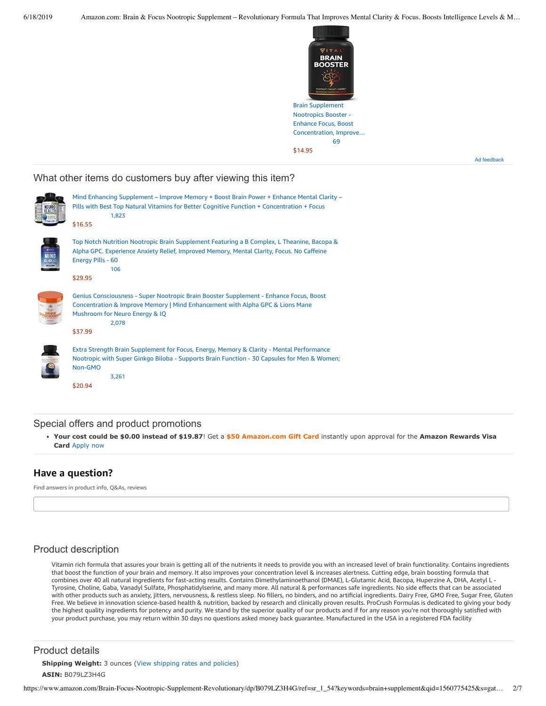\$14.95



Ad feedback

#### What other items do customers buy after viewing this item?



#### Special offers and product promotions

**[Your cost could be \\$0.00 instead of \\$19.87](https://www.amazon.com/gp/cobrandcard/marketing.html?pr=con321&inc=50gcUnrec&ts=79ft97jq07elxg8r33pufcw326ejaqx&dasin=B079LZ3H4G&plattr=math&place=detailpage&imp=48f5ca85-6ce3-4c22-802d-94b0bd0a15d0)**! Get a **\$50 Amazon.com Gift Card** instantly upon approval for the **Amazon Rewards Visa Card** Apply now

### **Have a question?**

Find answers in product info, Q&As, reviews

## Product description

Vitamin rich formula that assures your brain is getting all of the nutrients it needs to provide you with an increased level of brain functionality. Contains ingredients that boost the function of your brain and memory. It also improves your concentration level & increases alertness. Cutting edge, brain boosting formula that combines over 40 all natural ingredients for fast-acting results. Contains Dimethylaminoethanol (DMAE), L-Glutamic Acid, Bacopa, Huperzine A, DHA, Acetyl L - Tyrosine, Choline, Gaba, Vanadyl Sulfate, Phosphatidylserine, and many more. All natural & performances safe ingredients. No side effects that can be associated with other products such as anxiety, jitters, nervousness, & restless sleep. No fillers, no binders, and no artificial ingredients. Dairy Free, GMO Free, Sugar Free, Gluten Free. We believe in innovation science-based health & nutrition, backed by research and clinically proven results. ProCrush Formulas is dedicated to giving your body the highest quality ingredients for potency and purity. We stand by the superior quality of our products and if for any reason you're not thoroughly satisfied with your product purchase, you may return within 30 days no questions asked money back guarantee. Manufactured in the USA in a registered FDA facility

#### Product details

**Shipping Weight:** 3 ounces [\(View shipping rates and policies\)](https://www.amazon.com/gp/help/seller/shipping.html/ref=dp_pd_shipping?ie=UTF8&asin=B079LZ3H4G&seller=ATVPDKIKX0DER) **ASIN:** B079LZ3H4G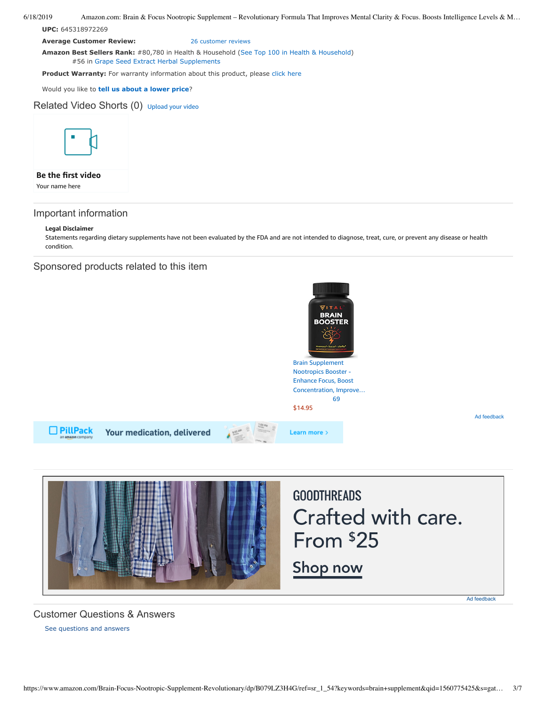6/18/2019 Amazon.com: Brain & Focus Nootropic Supplement – Revolutionary Formula That Improves Mental Clarity & Focus. Boosts Intelligence Levels & M…

**UPC:** 645318972269

**Average Customer Review:** [26 customer reviews](https://www.amazon.com/product-reviews/B079LZ3H4G/ref=acr_dpproductdetail_text?ie=UTF8&showViewpoints=1)

**Amazon Best Sellers Rank:** #80,780 in Health & Household ([See Top 100 in Health & Household\)](https://www.amazon.com/gp/bestsellers/hpc/ref=pd_zg_ts_hpc) #56 in [Grape Seed Extract Herbal Supplements](https://www.amazon.com/gp/bestsellers/hpc/3765801/ref=pd_zg_hrsr_hpc)

**Product Warranty:** For warranty information about this product, please [click here](https://www.amazon.com/gp/feature.html/ref=dp_warranty_request_3P?ie=UTF8&docId=1002406021)

Would you like to **tell us about a lower price**?

Related Video Shorts (0) [Upload](https://www.amazon.com/creatorhub/video/upload?productASIN=B079LZ3H4G&referringURL=ZHAvQjA3OUxaM0g0Rw%3D%3D&ref=RVSW) your video



#### **Be the first video**

Your name here

## Important information

#### **Legal Disclaimer**

Statements regarding dietary supplements have not been evaluated by the FDA and are not intended to diagnose, treat, cure, or prevent any disease or health condition.

### Sponsored products related to this item





## [See questions and answers](https://www.amazon.com/ask/questions/asin/B079LZ3H4G/ref=cm_cd_dp_lla_ql_ll) Customer Questions & Answers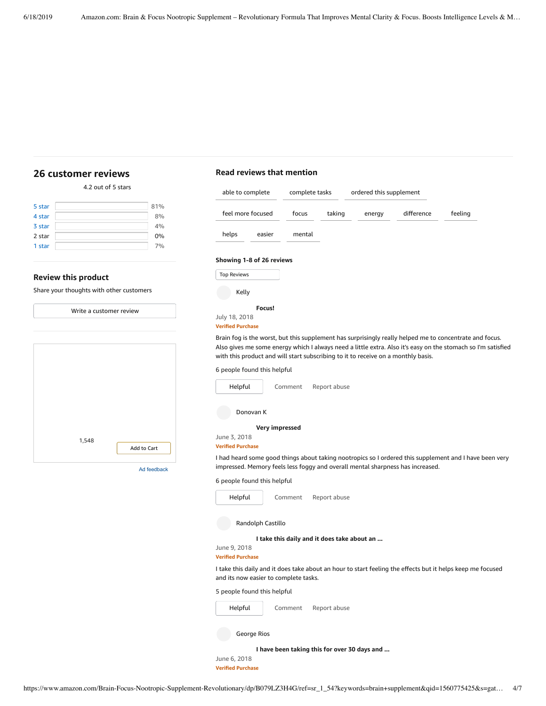# <span id="page-3-0"></span>**[26 customer](https://www.amazon.com/Brain-Focus-Nootropic-Supplement-Revolutionary/product-reviews/B079LZ3H4G/ref=cm_cr_dp_d_show_all_top?ie=UTF8&reviewerType=all_reviews) reviews**

# **Read reviews that mention**

| 4.2 out of 5 stars                       |             | able to complete                                                                                                                                                                             | complete tasks                              |              | ordered this supplement                      |            |                                                                                                              |
|------------------------------------------|-------------|----------------------------------------------------------------------------------------------------------------------------------------------------------------------------------------------|---------------------------------------------|--------------|----------------------------------------------|------------|--------------------------------------------------------------------------------------------------------------|
| 5 star                                   | 81%         |                                                                                                                                                                                              |                                             |              |                                              |            |                                                                                                              |
| 4 star                                   | 8%          | feel more focused                                                                                                                                                                            | focus                                       | taking       | energy                                       | difference | feeling                                                                                                      |
| 3 star                                   | 4%          |                                                                                                                                                                                              |                                             |              |                                              |            |                                                                                                              |
| 2 star                                   | 0%          | helps<br>easier                                                                                                                                                                              | mental                                      |              |                                              |            |                                                                                                              |
| 1 star                                   | 7%          | Showing 1-8 of 26 reviews                                                                                                                                                                    |                                             |              |                                              |            |                                                                                                              |
| <b>Review this product</b>               |             | <b>Top Reviews</b>                                                                                                                                                                           |                                             |              |                                              |            |                                                                                                              |
| Share your thoughts with other customers |             | Kelly                                                                                                                                                                                        |                                             |              |                                              |            |                                                                                                              |
| Write a customer review                  |             | Focus!<br>July 18, 2018<br><b>Verified Purchase</b>                                                                                                                                          |                                             |              |                                              |            |                                                                                                              |
|                                          |             | Brain fog is the worst, but this supplement has surprisingly really helped me to concentrate and focus.<br>with this product and will start subscribing to it to receive on a monthly basis. |                                             |              |                                              |            | Also gives me some energy which I always need a little extra. Also it's easy on the stomach so I'm satisfied |
|                                          |             | 6 people found this helpful                                                                                                                                                                  |                                             |              |                                              |            |                                                                                                              |
|                                          |             | Helpful                                                                                                                                                                                      | Comment                                     | Report abuse |                                              |            |                                                                                                              |
|                                          |             | Donovan K                                                                                                                                                                                    |                                             |              |                                              |            |                                                                                                              |
|                                          |             | Very impressed                                                                                                                                                                               |                                             |              |                                              |            |                                                                                                              |
| 1,548                                    |             | June 3, 2018<br><b>Verified Purchase</b>                                                                                                                                                     |                                             |              |                                              |            |                                                                                                              |
|                                          | Add to Cart |                                                                                                                                                                                              |                                             |              |                                              |            |                                                                                                              |
|                                          | Ad feedback | impressed. Memory feels less foggy and overall mental sharpness has increased.                                                                                                               |                                             |              |                                              |            | I had heard some good things about taking nootropics so I ordered this supplement and I have been very       |
|                                          |             | 6 people found this helpful                                                                                                                                                                  |                                             |              |                                              |            |                                                                                                              |
|                                          |             | Helpful                                                                                                                                                                                      | Comment                                     | Report abuse |                                              |            |                                                                                                              |
|                                          |             | Randolph Castillo                                                                                                                                                                            |                                             |              |                                              |            |                                                                                                              |
|                                          |             | June 9, 2018<br><b>Verified Purchase</b>                                                                                                                                                     | I take this daily and it does take about an |              |                                              |            |                                                                                                              |
|                                          |             | I take this daily and it does take about an hour to start feeling the effects but it helps keep me focused<br>and its now easier to complete tasks.                                          |                                             |              |                                              |            |                                                                                                              |
|                                          |             | 5 people found this helpful                                                                                                                                                                  |                                             |              |                                              |            |                                                                                                              |
|                                          |             | Helpful                                                                                                                                                                                      | Comment                                     | Report abuse |                                              |            |                                                                                                              |
|                                          |             | George Rios                                                                                                                                                                                  |                                             |              |                                              |            |                                                                                                              |
|                                          |             |                                                                                                                                                                                              |                                             |              | I have been taking this for over 30 days and |            |                                                                                                              |
|                                          |             | June 6, 2018                                                                                                                                                                                 |                                             |              |                                              |            |                                                                                                              |

**Verified Purchase**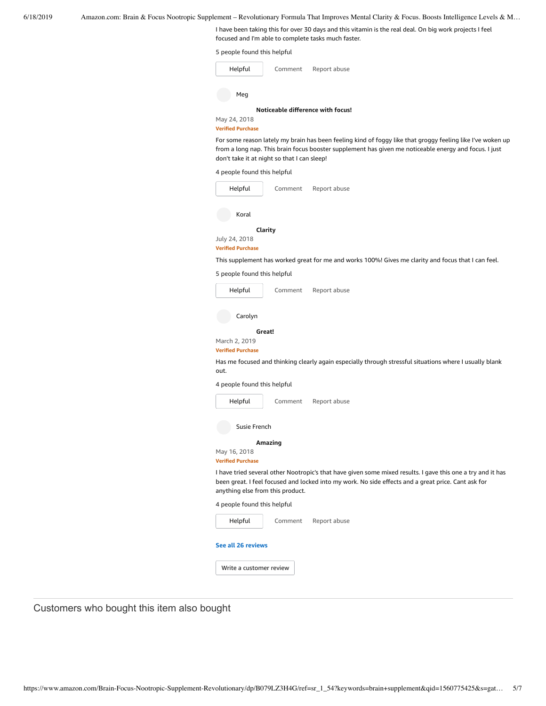I have been taking this for over 30 days and this vitamin is the real deal. On big work projects I feel focused and I'm able to complete tasks much faster.

|  |  |  | 5 people found this helpful |  |  |  |  |
|--|--|--|-----------------------------|--|--|--|--|
|--|--|--|-----------------------------|--|--|--|--|

| Helpful                  | Comment | Report abuse                      |
|--------------------------|---------|-----------------------------------|
| Meg                      |         |                                   |
|                          |         | Noticeable difference with focus! |
| May 24, 2018             |         |                                   |
| <b>Verified Purchase</b> |         |                                   |

For some reason lately my brain has been feeling kind of foggy like that groggy feeling like I've woken up from a long nap. This brain focus booster supplement has given me noticeable energy and focus. I just don't take it at night so that I can sleep!

| 4 people found this helpful               |         |                                                                                                                                                                                                                    |
|-------------------------------------------|---------|--------------------------------------------------------------------------------------------------------------------------------------------------------------------------------------------------------------------|
| Helpful                                   | Comment | Report abuse                                                                                                                                                                                                       |
|                                           |         |                                                                                                                                                                                                                    |
| Koral                                     |         |                                                                                                                                                                                                                    |
| July 24, 2018                             | Clarity |                                                                                                                                                                                                                    |
| <b>Verified Purchase</b>                  |         | This supplement has worked great for me and works 100%! Gives me clarity and focus that I can feel.                                                                                                                |
| 5 people found this helpful               |         |                                                                                                                                                                                                                    |
| Helpful                                   | Comment | Report abuse                                                                                                                                                                                                       |
|                                           |         |                                                                                                                                                                                                                    |
| Carolyn                                   |         |                                                                                                                                                                                                                    |
| March 2, 2019<br><b>Verified Purchase</b> | Great!  |                                                                                                                                                                                                                    |
| out.                                      |         | Has me focused and thinking clearly again especially through stressful situations where I usually blank                                                                                                            |
| 4 people found this helpful               |         |                                                                                                                                                                                                                    |
| Helpful                                   | Comment | Report abuse                                                                                                                                                                                                       |
| Susie French                              |         |                                                                                                                                                                                                                    |
| May 16, 2018<br><b>Verified Purchase</b>  | Amazing |                                                                                                                                                                                                                    |
| anything else from this product.          |         | I have tried several other Nootropic's that have given some mixed results. I gave this one a try and it has<br>been great. I feel focused and locked into my work. No side effects and a great price. Cant ask for |
| 4 people found this helpful               |         |                                                                                                                                                                                                                    |
| Helpful                                   | Comment | Report abuse                                                                                                                                                                                                       |
| See all 26 reviews                        |         |                                                                                                                                                                                                                    |
| Write a customer review                   |         |                                                                                                                                                                                                                    |

Customers who bought this item also bought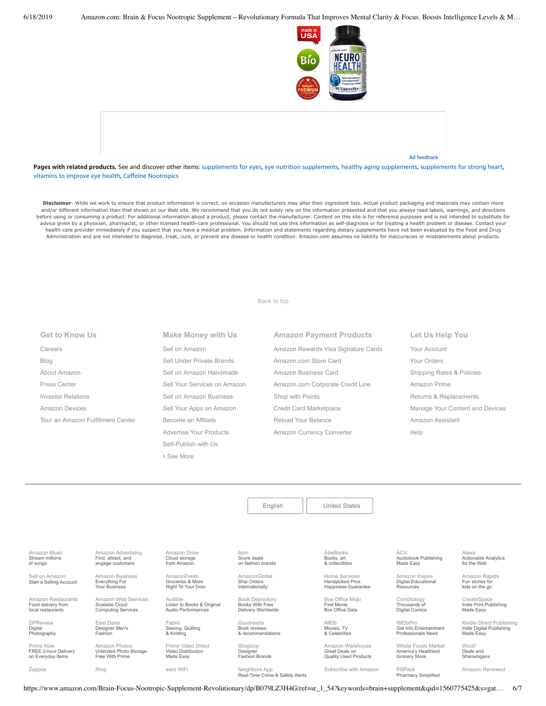



**Pages with related products.** See and discover other items: [supplements](https://www.amazon.com/slp/supplements-for-eyes/999e6kuc7n6xb79?_encoding=UTF8&ref_=fs_blw_d_clp_1) for eyes, eye nutrition [supplements,](https://www.amazon.com/slp/eye-nutrition-supplements/speogu8vhoaz9dk?_encoding=UTF8&ref_=fs_blw_d_clp_2) healthy aging [supplements](https://www.amazon.com/slp/healthy-aging-supplements/decb8ytozkjj36k?_encoding=UTF8&ref_=fs_blw_d_clp_3), [supplements](https://www.amazon.com/slp/supplements-for-strong-heart/fauv7ekk37cg6cz?_encoding=UTF8&ref_=fs_blw_d_clp_4) for strong heart, [vitamins](https://www.amazon.com/slp/vitamins-to-improve-eye-health/5th6hs4nqw5d79w?_encoding=UTF8&ref_=fs_blw_d_clp_5) to improve eye health, Caffeine [Nootropics](https://www.amazon.com/slp/Caffeine-Nootropics/afket8njjk8y6dv?_encoding=UTF8&ref_=fs_blw_d_clp_6)

Disclaimer: While we work to ensure that product information is correct, on occasion manufacturers may alter their ingredient lists. Actual product packaging and materials may contain more and/or different information than that shown on our Web site. We recommend that you do not solely rely on the information presented and that you always read labels, warnings, and directions before using or consuming a product. For additional information about a product, please contact the manufacturer. Content on this site is for reference purposes and is not intended to substitute for advice given by a physician, pharmacist, or other licensed health-care professional. You should not use this information as self-diagnosis or for treating a health problem or disease. Contact your health-care provider immediately if you suspect that you have a medical problem. Information and statements regarding dietary supplements have not been evaluated by the Food and Drug Administration and are not intended to diagnose, treat, cure, or prevent any disease or health condition. Amazon.com assumes no liability for inaccuracies or misstatements about products.

[Back to top](#page-0-0)

### **Get to Know Us**

[Careers](https://www.amazon.jobs/) [Blog](https://blog.aboutamazon.com/?utm_source=gateway&utm_medium=footer) [About Amazon](https://www.aboutamazon.com/?utm_source=gateway&utm_medium=footer) [Press Center](https://www.amazon.com/pr) [Investor Relations](https://www.amazon.com/ir) [Amazon Devices](https://www.amazon.com/amazon-devices/b?ie=UTF8&node=2102313011&ref_=footer_devices) [Tour an Amazon Fulfillment Center](https://www.aboutamazon.com/amazon-fulfillment-center-tours?utm_source=gateway&utm_medium=footer&utm_campaign=fctours)

# [Sell on Amazon](https://www.amazon.com/gp/redirect.html?_encoding=UTF8&location=https%3A%2F%2Fservices.amazon.com%2Fcontent%2Fsell-on-amazon.htm%2Fref%3Dfooter_soa%3Fld%3DAZFSSOA%26ref_%3Dfooter_soa&source=standards&token=1CC2E60AAEEFD9613C04037E8F5AFD0F4D90DC5B) [Sell Under Private Brands](https://www.amazon.com/l/ref=map_1_b2b_GW_FT?node=17882322011) [Sell on Amazon Handmade](https://www.amazon.com/gp/redirect.html?_encoding=UTF8&location=https%3A%2F%2Fservices.amazon.com%2Fhandmade%2Fhandmade.html%3Fld%3DAZUSHNDFooter%26ref_%3Dfooter_soa&source=standards&token=3B063664DF1F3D449986FD6D04FA7404D76C339B) [Sell Your Services on Amazon](https://www.amazon.com/gp/redirect.html?_encoding=UTF8&location=https%3A%2F%2Fservices.amazon.com%2Fselling-services%2Fbenefits.htm%3Fld%3DAZUSVAS-globalfooter%26ref_%3Dfooter_sell_svcs&source=standards&token=E93858F0E946F93FEAC7F36EFB8E10F5C54CDBFC) [Sell on Amazon Business](https://services.amazon.com/amazon-business.html?ld=usb2bunifooter) [Sell Your Apps on Amazon](https://developer.amazon.com/) [Become an Affiliate](https://affiliate-program.amazon.com/) [Advertise Your Products](https://advertising.amazon.com/?ref=ext_amzn_ftr) Self-Publish with Us **›** [See More](https://www.amazon.com/b/?_encoding=UTF8&ld=AZUSSOA-seemore&node=18190131011&ref_=footer_seemore)

**Make Money with Us**

# **Amazon Payment Products** [Amazon Rewards Visa Signature Cards](https://www.amazon.com/iss/credit/rewardscardmember?_encoding=UTF8&plattr=CBFOOT&ref_=footer_cbcc) [Amazon.com Store Card](https://www.amazon.com/iss/credit/storecardmember?_encoding=UTF8&plattr=PLCCFOOT&ref_=footer_plcc) [Amazon Business Card](https://www.amazon.com/dp/B07984JN3L?_encoding=UTF8&ie=UTF-8&plattr=ACOMFO) [Amazon.com Corporate Credit Line](https://www.amazon.com/dp/B07CBJQS16?_encoding=UTF8&ie=UTF-8&place=camp&plattr=CCLFOOT&pr=ibprox&ref_=footer_ccl) [Shop with Points](https://www.amazon.com/b?ie=UTF8&node=16218619011&ref_=footer_swp) [Credit Card Marketplace](https://www.amazon.com/compare-credit-card-offers/b?ie=UTF8&node=3561432011&ref_=footer_ccmp) [Reload Your Balance](https://www.amazon.com/Reload-Your-Gift-Card-Balance/b?ie=UTF8&node=10232440011&ref_=footer_reload_us) [Amazon Currency Converter](https://www.amazon.com/Currency-Converter/b?ie=UTF8&node=388305011&ref_=footer_tfx)

**Let Us Help You** [Your Account](https://www.amazon.com/gp/css/homepage.html?ie=UTF8&ref_=footer_ya) [Your Orders](https://www.amazon.com/gp/css/order-history?ie=UTF8&ref_=footer_yo) [Shipping Rates & Policies](https://www.amazon.com/gp/help/customer/display.html?ie=UTF8&nodeId=468520&ref_=footer_shiprates) [Amazon Prime](https://www.amazon.com/gp/prime?ie=UTF8&ref_=footer_prime) [Returns & Replacements](https://www.amazon.com/gp/css/returns/homepage.html?ie=UTF8&ref_=footer_hy_f_4) [Manage Your Content and Devices](https://www.amazon.com/gp/digital/fiona/manage?ie=UTF8&ref_=footer_myk) [Amazon Assistant](https://www.amazon.com/gp/BIT/ref=footer_bit_v2_us_A0029?bitCampaignCode=A0029) [Help](https://www.amazon.com/gp/help/customer/display.html?ie=UTF8&nodeId=508510&ref_=footer_gw_m_b_he)

[English](https://www.amazon.com/gp/customer-preferences/select-language/ref=footer_lang?ie=UTF8&preferencesReturnUrl=%2FBrain-Focus-Nootropic-Supplement-Revolutionary%2Fdp%2FB079LZ3H4G%2Fref%3Dsr_1_54%3Fkeywords%3Dbrain%2Bsupplement%26qid%3D1560775425%26s%3Dgateway%26sr%3D8-54) | [United States](https://www.amazon.com/gp/navigation-country/select-country/ref=?ie=UTF8&preferencesReturnUrl=%2FBrain-Focus-Nootropic-Supplement-Revolutionary%2Fdp%2FB079LZ3H4G%2Fref%3Dsr_1_54%3Fkeywords%3Dbrain%2Bsupplement%26qid%3D1560775425%26s%3Dgateway%26sr%3D8-54)

AbeBooks Books, art [& collectibles](https://www.abebooks.com/)

Home Services Handpicked Pros [Happiness Guarantee](https://www.amazon.com/services?_encoding=UTF8&ref_=footer_services)

[Box Office Mojo](https://www.boxofficemojo.com/?ref_=amzn_nav_ftr) Find Movie Box Office Data

Great Deals on Quality Used Products

ACX [Audiobook Publishing](https://www.acx.com/) Made Easy

[Amazon Inspire](https://www.amazoninspire.com/?ref=amazon_footer) Digital Educational Resources

[Whole Foods Market](https://www.wholefoodsmarket.com/) America's Healthiest Grocery Store

[ComiXology](https://www.comixology.com/) Thousands of Digital Comics

IMDbPro [Get Info Entertainment](https://pro.imdb.com/?ref_=amzn_nav_ftr) Professionals Need Alexa [Actionable Analytics](https://www.alexa.com/) for the Web

[Amazon Rapids](https://rapids.amazon.com/?ref=rapids_acq_gatewayfooter) Fun stories for kids on the go

CreateSpace [Indie Print Publishing](https://www.createspace.com/) Made Easy

[Kindle Direct Publishing](https://kdp.amazon.com/) Indie Digital Publishing Made Easy

Woot! Deals and **[Shenanigans](https://www.woot.com/)** 

[Amazon Renewed](https://www.amazon.com/Certified-Refurbished/b?ie=UTF8&node=12653393011&ref_=footer_usrenew)

[Book Depository](https://www.bookdepository.com/) Books With Free Delivery Worldwide Goodreads Book reviews [& recommendations](https://www.goodreads.com/) IMDb Movies, TV [& Celebrities](https://www.imdb.com/) Designer [Fashion Brands](https://www.shopbop.com/welcome) [Amazon Warehouse](https://www.amazon.com/Warehouse-Deals/b?ie=UTF8&node=10158976011&ref_=footer_wrhsdls)

[Subscribe with Amazon](https://www.amazon.com/b?ie=UTF8&node=14498690011&ref_=amzn_nav_ftr_swa) PillPack [Pharmacy Simplified](https://www.pillpack.com/)

https://www.amazon.com/Brain-Focus-Nootropic-Supplement-Revolutionary/dp/B079LZ3H4G/ref=sr\_1\_54?keywords=brain+supplement&qid=1560775425&s=gat… 6/7

[Amazon Music](https://music.amazon.com/?ref=dm_aff_amz_com) Stream millions of songs

Sell on Amazon [Start a Selling Account](https://www.amazon.com/gp/redirect.html?_encoding=UTF8&location=https%3A%2F%2Fservices.amazon.com%2Fcontent%2Fsell-on-amazon.htm%3Fld%3DAZUSSOA-footer-aff%26ref%3Dfooter_sell&source=standards&token=9C20DC45C16BB27C88A9F9FF2131288939F17ADB)

[Amazon Restaurants](https://primenow.amazon.com/restaurants?ref_=amzrst_nav_footer) Food delivery from local restaurants

DPReview Digital [Photography](https://www.dpreview.com/)

Prime Now FREE 2-hour Delivery on Everyday Items

[Amazon Business](https://www.amazon.com/business?_encoding=UTF8&ref_=footer_retail_b2b) Everything For Your Business

[Amazon Advertising](https://advertising.amazon.com/?ref=footer_advtsing_amzn_com) Find, attract, and engage customers

Computing Services East Dane

[Designer Men's](https://www.eastdane.com/welcome) Fashion

Amazon Photos

[Zappos](https://www.zappos.com/) [Ring](https://ring.com/) [eero WiFi](https://eero.com/) Neighbors App

[Amazon Web Services](https://aws.amazon.com/what-is-cloud-computing/?sc_channel=EL&sc_campaign=amazonfooter) Scalable Cloud

[Amazon Drive](https://www.amazon.com/STRING-subnav_primephotos_amazondrive/b?ie=UTF8&node=15547130011&ref_=us_footer_drive) Cloud storage from Amazon

AmazonFresh Groceries & More [Right To Your Door](https://www.amazon.com/AmazonFresh/b?ie=UTF8&node=10329849011&ref_=footer_aff_fresh)

[Prime Video Direct](https://videodirect.amazon.com/home/landing) Video Distribution<br>Made Easy

Fabric [Sewing, Quilting](https://www.fabric.com/) & Knitting

[Audible](https://www.audible.com/) Listen to Books & Original Audio Performances

6pm Score deals [on fashion brands](https://www.6pm.com/)

[AmazonGlobal](https://www.amazon.com/International-Shipping-Direct/b?ie=UTF8&node=230659011&ref_=footer_amazonglobal) Ship Orders **Internationally** 

Shopbop

Real-Time Crime & Safety Alerts

[Unlimited Photo Storage](https://www.amazon.com/STRING-subnav-prime-photos/b?ie=UTF8&node=13234696011&ref_=gno_p_foot) Free With Prime